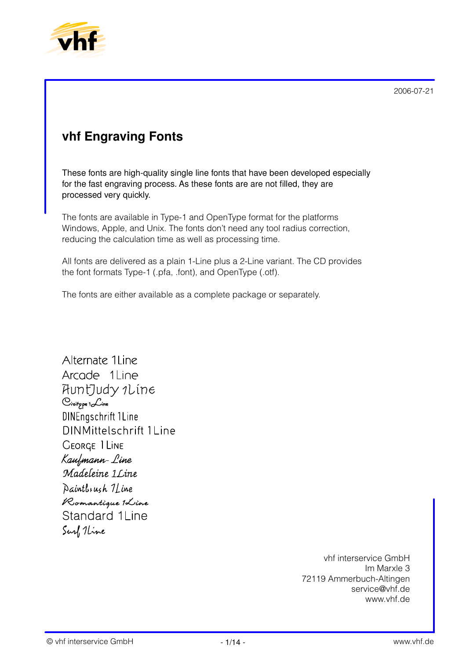

# **vhf Engraving Fonts**

These fonts are high-quality single line fonts that have been developed especially for the fast engraving process. As these fonts are are not filled, they are processed very quickly.

The fonts are available in Type-1 and OpenType format for the platforms Windows, Apple, and Unix. The fonts don't need any tool radius correction, reducing the calculation time as well as processing time.

All fonts are delivered as a plain 1-Line plus a 2-Line variant. The CD provides the font formats Type-1 (.pfa, .font), and OpenType (.otf).

The fonts are either available as a complete package or separately.

Alternate 1 Line Arcade 1 Line HuntJudy 1Line  $C$ ivitype  $1$   $\mathcal{L}$ ine **DINEngschrift 1Line DINMittelschrift 1Line GEORGE 1 LINE** Kaufmann-Line Madeleine 1 Line Daintlingh 1 Line Romantique 1Line **Standard 1Line** Surf 1 Line

> vhf interservice GmbH Im Marxle 3 72119 Ammerbuch-Altingen service@vhf.de www.vhf.de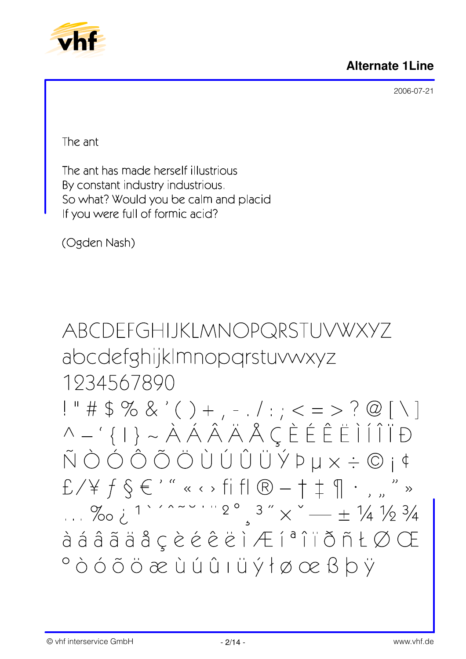### **Alternate 1Line**



2006-07-21

The ant

The ant has made herself illustrious By constant industry industrious. So what? Would you be calm and placid If you were full of formic acid?

(Ogden Nash)

ABCDEFGHIJKLMNOPQRSTUVWXYZ abcdefghijkImnopgrstuvwxyz 1934567890

 $1" # $% & ( ) + , - , / : ; < = > ? @ [ \ \ }  
 \wedge - ' { | } > \hat{A} \hat{A} \hat{A} \hat{A} \hat{A} \hat{C} \hat{E} \hat{E} \hat{E} \hat{I} \hat{I} \hat{I} \hat{I} \hat{D}$  $E/Yf$   $\in$  '" « · > fi fl  $\circledR$  -  $\dagger$   $\uparrow$   $\circ$  " »  $\frac{9}{2}$   $\frac{3}{x}$   $\frac{4}{x}$   $\frac{1}{2}$   $\frac{1}{2}$   $\frac{2}{x}$   $\frac{3}{2}$   $\frac{3}{x}$   $\frac{3}{x}$   $\frac{4}{x}$   $\frac{1}{4}$   $\frac{1}{2}$   $\frac{3}{4}$ à á â ã ä å ç è é ê ë ì Æ í ª î ï ð ñ Ł Ø Œ  $^{\circ}$ ÒÓÕÖæÙÚÛIÜÝłøœßþÿ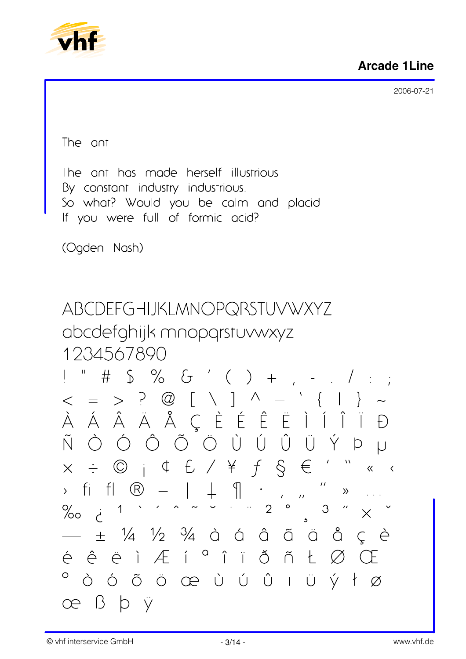

The ant

The ant has made herself illustrious By constant industry industrious. So what? Would you be calm and placid If you were full of formic acid?

(Ogden Nash)

ABCDEFGHIJKLMNOPQRSTUVWXYZ abcdefghijkImnopqrstuvwxyz 1234567890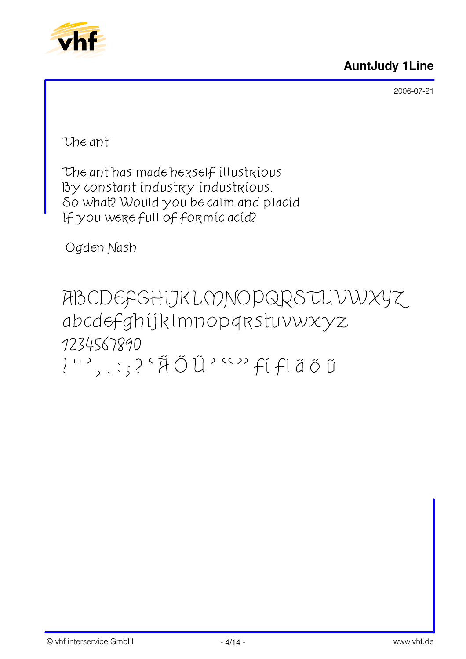



The ant

The ant has made herself illustrious By constant industry industrious. So what? Would you be calm and placid If you were full of formic acid?

Ogden Nash

ABCDEFGHIJKLMNOPQRSTUVWXYZ abcdefghijkImnopqrstuvwxyz 1234567890 !'', .;?'#ŐŰ'""fifláőŰ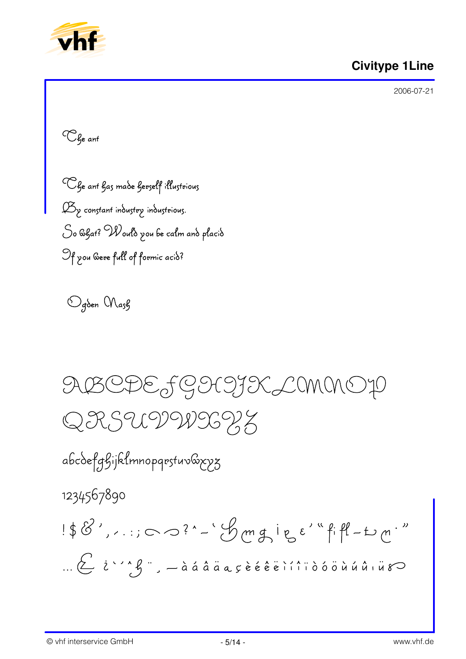

### **Civitype 1Line**

2006-07-21

<sup>C</sup> Ge ant

Che ant has made herself illustrious  $\mathcal{B}_{\gamma}$  constant industry industrious. So & gat? Would you be calm and placid Of you were full of formic acid?

Ogden Mash

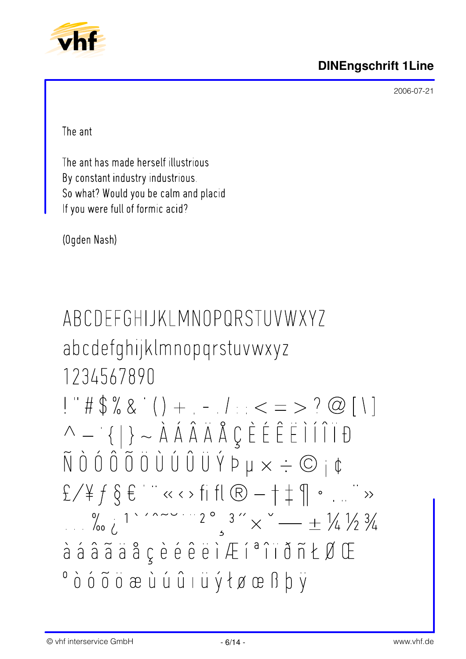



The ant

The ant has made herself illustrious By constant industry industrious. So what? Would you be calm and placid If you were full of formic acid?

(Ogden Nash)

ABCDFFGHIJKI MNOPORSTUVWXY7 abcdefghijklmnopqrstuvwxyz 1234567890  $1" # $% & ( ) + . - . / : < = > ? @ [ \ \ }$  $\wedge - \{ | \} \sim \lambda \land \hat{A} \land \hat{A} \land \emptyset \in \hat{E} \in \hat{E} \cap \hat{I} \cap \hat{B}$  $\tilde{N}$  0 0 0 0 0 0 0 0 0 0 0 0  $\forall$  P  $\mu \times \div$   $\odot$   $\phi$  $f \neq f \in E$  $\frac{1}{2}$   $\frac{1}{2}$   $\frac{1}{2}$   $\frac{1}{2}$   $\frac{1}{2}$   $\frac{1}{2}$   $\frac{1}{2}$   $\frac{1}{2}$   $\frac{1}{2}$   $\frac{1}{2}$   $\frac{1}{2}$   $\frac{1}{2}$   $\frac{1}{2}$   $\frac{1}{2}$   $\frac{1}{2}$   $\frac{1}{2}$   $\frac{1}{2}$   $\frac{1}{2}$   $\frac{1}{2}$   $\frac{1}{2}$   $\frac{1}{2}$   $\frac{1}{2}$  à á â ã ä å ç è é ê ë ì Æ í ª î ï ð ñ Ł Ø Œ <sup>o</sup>òóõõæùúûıüýłøœßþÿ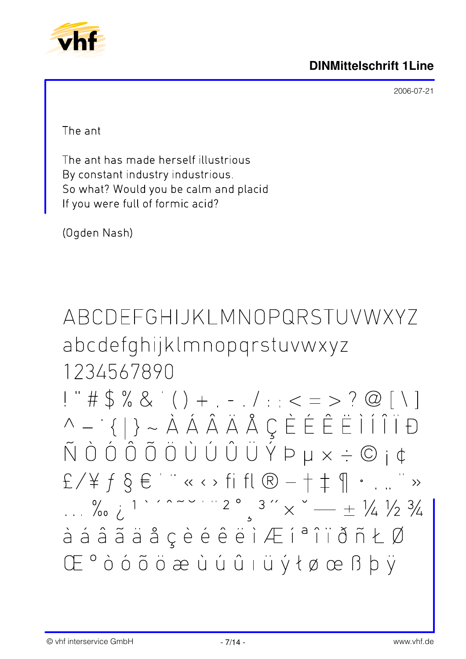



The ant

The ant has made herself illustrious By constant industry industrious. So what? Would you be calm and placid If you were full of formic acid?

(Ogden Nash)

ABCDFFGHIJKI MNOPQRSTUVWXYZ abcdefghijklmnopqrstuvwxyz 1234567890

 $1 " # $ % & ( ) + . - . / : : < = > ? @ [ \ \ | )$  $\tilde{N}$  Ò Ó Ô Õ Ö Ù Ú Û Ü Ý Þ µ  $\times \div \textcircled{c}$  j ¢  $E \setminus \nexists f \in E \quad \text{if} \quad k \in \{1,2,\ldots, n-1\}$  $\frac{1}{2}$   $\frac{1}{2}$   $\frac{1}{2}$   $\frac{1}{2}$   $\frac{1}{2}$   $\frac{1}{2}$   $\frac{1}{2}$   $\frac{1}{2}$   $\frac{1}{2}$   $\frac{1}{2}$   $\frac{1}{2}$   $\frac{1}{2}$   $\frac{1}{2}$   $\frac{1}{2}$   $\frac{1}{2}$   $\frac{1}{2}$   $\frac{1}{2}$   $\frac{1}{2}$   $\frac{1}{2}$   $\frac{1}{2}$   $\frac{1}{2}$   $\frac{1}{2}$  à á â ã ä å ç è é ê ë ì Æ í ª î ï ð ñ Ł Ø Œ<sup>°</sup>òóõöæùúûıüýłøœßþÿ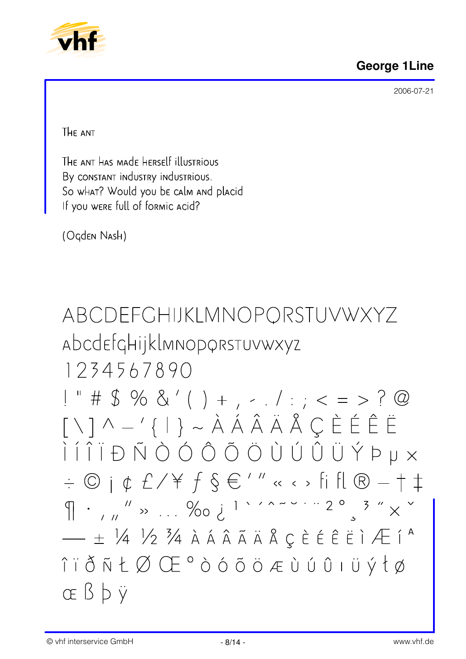# **George 1Line**

2006-07-21



THE ANT

The ant has made herself illustrious By CONSTANT INDUSTRY INDUSTRIOUS. So what? Would you be calm and placid If you were full of formic acid?

(Ogden Nash)

ABCDEFCHIJKLMNOPORSTUVWXYZ Abcdefghijklmnoporstuvwxyz

1234567890

 $1" # $ % & ( ) + , - . / : ; < = > ? @$  $\lceil \setminus \rceil \wedge -'\{\rceil\} \sim \mathring{A} \land \mathring{A} \land \mathring{A} \land \mathring{B} \subset \mathring{E} \in \mathring{E}$  $\hat{a} = \hat{b} + \hat{c} + \hat{c} + \hat{c} + \hat{c} + \hat{c} + \hat{c} + \hat{c} + \hat{c} + \hat{c} + \hat{c} + \hat{c} + \hat{c} + \hat{c} + \hat{c} + \hat{c} + \hat{c} + \hat{c} + \hat{c} + \hat{c} + \hat{c} + \hat{c} + \hat{c} + \hat{c} + \hat{c} + \hat{c} + \hat{c} + \hat{c} + \hat{c} + \hat{c} + \hat{c} + \hat{c} + \hat{c} + \hat{c} + \hat{c} + \hat{c$  $\phi \in \mathbb{C}$   $\phi \in \mathbb{C}$  /  $\forall f \in \mathbb{C}$  /  $\theta' \circ \phi$  and  $\phi \circ \phi$  fift  $\mathbb{C}$  and  $\phi \circ \phi$  $\left\{\right\}$  .  $\left\{\right.$   $\right\}$   $\left\{\right.$   $\left\{\right.$   $\left\{\right.$   $\left\{\right. \right.$   $\left\{\right. \right.$   $\left\{\right. \right.$   $\left\{\right. \right.$   $\left\{\right. \right. \right.$   $\left\{\right. \right.$   $\left\{\right. \right. \right.$   $\left\{\right. \right.$   $\left\{\right. \right. \right.$   $\left\{\right. \right. \right\}$   $\left\{\right. \left. \right.$   $\left\{\right. \right.$   $\left\{\right$ î i ð ñ Ł Ø Œ ° ò ó õ ö æ ù ú û ı ü ý ł ø  $CE$   $\beta$   $\phi$   $\ddot{\gamma}$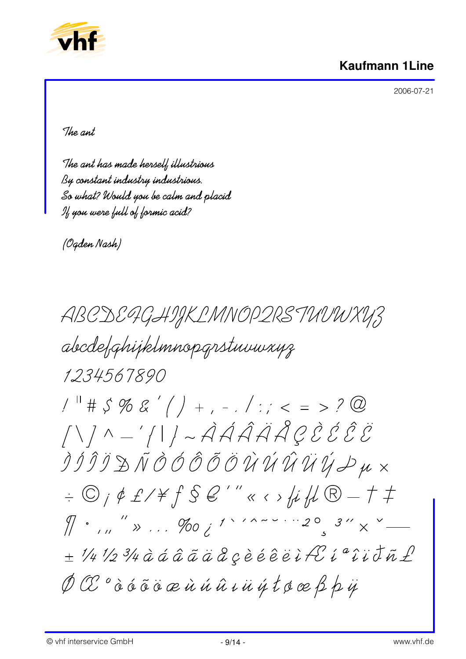



The ant

The ant has made herself illustrious By constant industry industrious. So what? Would you be calm and placid If you were full of formic acid?

(Ogden Nash)

ABCDE9GHIJKLMNOP2RSTUUWXY3 abcdefahijklmnopgrstuuwxuz 1234567890  $1^{\text{H}}$  #  $\zeta$  % & ' ( ) + , - . / : ; < = > ? @  $\bigwedge\bigwedge\wedge\ldots\bigwedge\bigcap\bigwedge\sim\bigwedge\hat{A}\hat{A}\hat{A}\hat{A}\hat{A}\hat{C}\hat{\mathcal{E}}\hat{\mathcal{E}}\hat{\mathcal{E}}$  $\hat{\mathcal{I}}\hat{\mathcal{I}}\hat{\mathcal{I}}\hat{\mathcal{I}}\mathrel{\cong}\tilde{\mathcal{N}}\hat{\mathcal{O}}\hat{\mathcal{O}}\hat{\mathcal{O}}\tilde{\mathcal{O}}\hat{\mathcal{O}}\hat{\mathcal{U}}\hat{\mathcal{U}}\hat{\mathcal{U}}\hat{\mathcal{U}}\hat{\mathcal{U}}\hat{\mathcal{U}}\mathcal{Y}\mathcal{Z}\mu\,\times$  $\phi\in\mathbb{C}$  ;  $\phi$  £/\f  $\int$   $\int$   $\mathbb{S}$   $\mathcal{C}'''$   $\alpha$   $\leftrightarrow$   $\mu$   $\mu$   $\mathbb{R}-\tau$   $\neq$  $\pi$  .  $\pi$   $\rightarrow$   $\pi$   $\rightarrow$   $\pi$   $\rightarrow$   $\pi$   $\rightarrow$   $\pi$   $\rightarrow$   $\pi$   $\rightarrow$   $\pi$ ± 1/4 1/2 3/4 à á â ã ä å gèéêëi fé i a î i d ñ £  $\emptyset$  CE  $^o$  à á ã ä æ ù ú ú û i ü ý t ø æ ß þ ÿ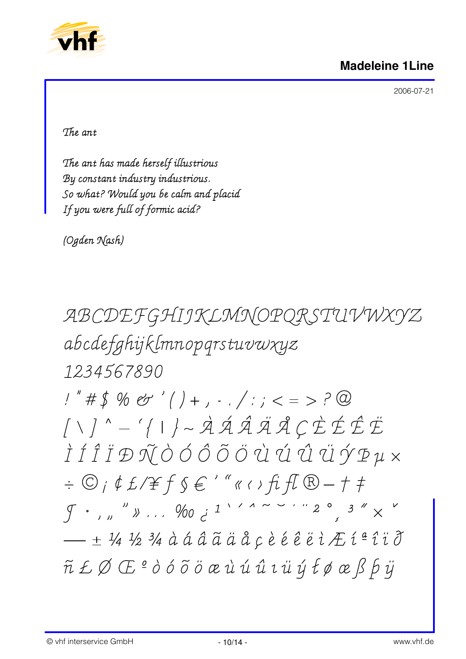#### **Madeleine 1Line**



2006-07-21

The ant

The ant has made herself illustrious By constant industry industrious. So what? Would you be calm and placid If you were full of formic acid?

(Ogden Nash)

ABCDEFGHIJKLMNOPQRSTUVWXYZ abcdefghijklmnopgrstuvwxyz 1234567890

 $1"$ #\$%&'()+, -./:; < = >?@  $\left. \begin{array}{c|c} \left. \begin{array}{l} \right. \end{array} \right. \left. \begin{array}{l} \left. \begin{array}{l} \right. \end{array} \right. \left. \end{array} \right. \left. \left. \begin{array}{l} \left. \end{array} \right. \right. \left. \end{array} \right. \left. \begin{array}{l} \dot{\mathcal{A}} & \dot{\mathcal{A}} & \dot{\mathcal{A}} & \dot{\mathcal{A}} & \dot{\mathcal{A}} & \dot{\mathcal{A}} & \dot{\mathcal{C}} & \dot{\mathcal{C}} & \dot{\mathcal{E}} & \dot{\mathcal{E}} \end{array} \right.$ Ì Í Î Ï Đ Ñ Ò Ó Ô Õ Ö Ü Ú Û Ü Ý P µ ×  $\phi\in\mathbb{C}$  ;  $\phi$   $f$   $f$   $f$   $f$   $g$   $f$   $''$   $\alpha$   $\theta$   $f$   $f$   $\mathbb{R}$   $f$   $f$   $\mathbb{R}$   $f$   $f$  $\int$   $\left(\frac{1}{2}\right)^{n}$   $\left(\frac{1}{2}\right)^{n}$   $\left(\frac{1}{2}\right)^{n}$   $\left(\frac{1}{2}\right)^{n}$   $\left(\frac{1}{2}\right)^{n}$   $\left(\frac{1}{2}\right)^{n}$   $\left(\frac{1}{2}\right)^{n}$   $\left(\frac{1}{2}\right)^{n}$   $\left(\frac{1}{2}\right)^{n}$  $-$  + 1/4 1/2 3/4 à á â ã ä å c è é ê ë i Æ í ª î ï ð ñ ŁØŒº ò ó õ ö œ ù ú û ı ü ý łø œ ß b ÿ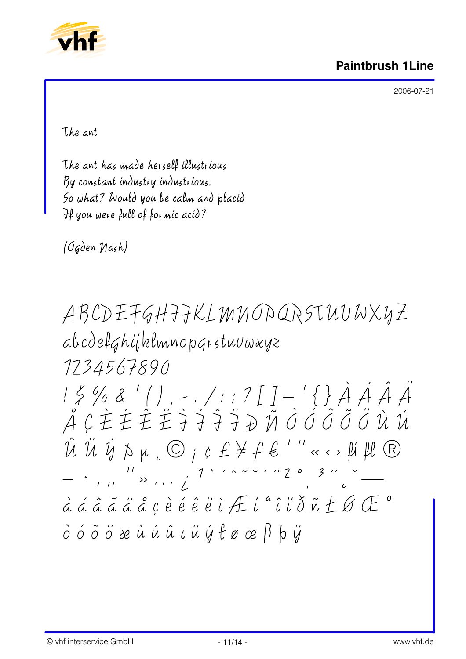

The ant

The ant has made herself illustrious By constant industry industrious. So what? Would you be calm and placid If you were full of formic acid?

*(Ogden Nash)* 

ABCDEFGHIJKLMNOPQRSTUUWXYZ abcdefghijklmnopgrstuuwxyz 1734567890 15% & '(), -./:: ? [ ] - '{} À Á Â Â<br>Â Ç È È È È } } } } } Ñ Ò Ó Ô Õ Ö Ù Ù  $\hat{\mathcal{U}}\ \hat{\mathcal{U}}\ \hat{\mathcal{Y}}\ \hat{\mathcal{V}}\ \mu\ {}_{c}\ \textcircled{O}\ j\ c\ \textup{f}\ \textup{\#}\ \textup{f}\ \textup{\#}\ ''\ll\leftarrow\ \textup{$\mu$}\ \textup{\#}\ \textcircled{P}$  $\cdot$   $\frac{11}{111}$   $\rightarrow$   $\cdot$   $\cdot$   $\cdot$   $\frac{1}{2}$   $\cdot$   $\cdot$   $\sim$   $\sim$   $\cdot$   $\cdot$   $\cdot$   $\frac{20}{111}$   $\cdot$   $\frac{20}{111}$ à á â ã ä å ç è é é ë i Æ i " î i d ñ Ł Ø Œ " ò ó õ ö æ ù ú û ι ü ý t ø œ ß þ ÿ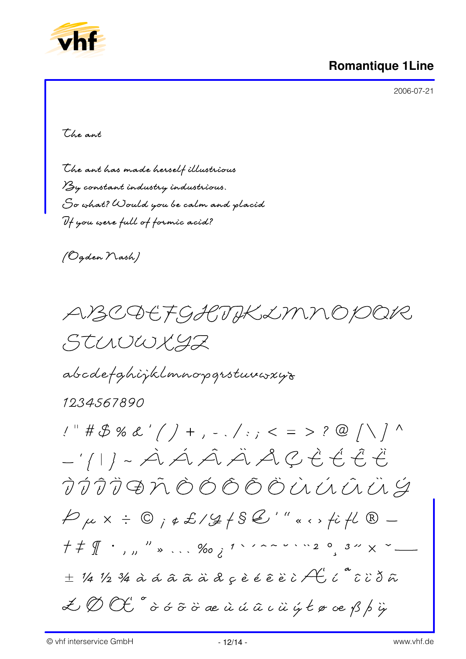

# **Romantique 1Line**

2006-07-21

the ant

The ant has made herself illustrious By constant industry industrious. So what? Would you be calm and placid If you were full of formic acid?

(Ogden Nash)

ABCQEFGHTIKLMNOPOR STUUWXYZ

abcdefghijklmnopgrstuvwxys

# 1234567890

 $1''$  # \$ % & ' ( ) +, -./:; < = > ? @ | \ ] ^  $-111 - \mathcal{A} \mathcal{A} \mathcal{A} \mathcal{A} \mathcal{A} \mathcal{A} \mathcal{L} \mathcal{E} \mathcal{E} \mathcal{E} \mathcal{E} \mathcal{E} \mathcal{E}$ TÍTIĐÃ ÒÓÕÕÖÙÚŨŨ  $P\mu x + Q_1 \in L / L / L S L''' \times L / L R \pm$  1/4 1/2 3/4 à á á â ã à d ç è é ê è è ì  $\mathcal{A}'$  í  $``$  ĉ ï ð ã  $\measuredangle\oslash\oslash\mskip-5mu\zeta'$   $\circ$   $\circ$   $\circ$   $\circ$   $\circ$   $\circ$   $\alpha$   $\alpha$   $\alpha$   $\alpha$   $\beta$   $\alpha$   $\beta$   $\beta$   $\beta$   $\gamma$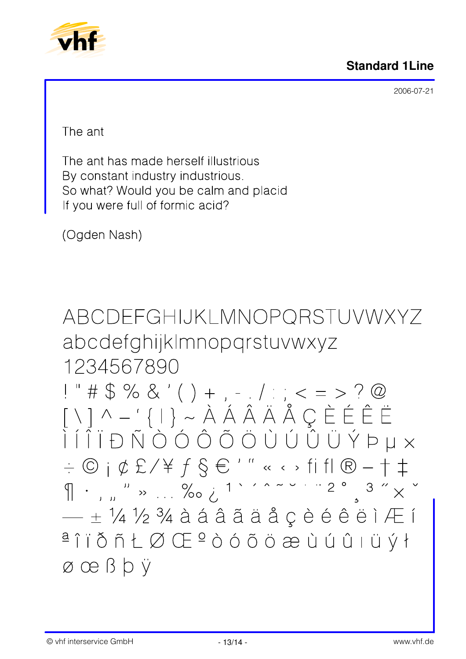



The ant

The ant has made herself illustrious By constant industry industrious. So what? Would you be calm and placid If you were full of formic acid?

(Ogden Nash)

ABCDEFGHIJKLMNOPORSTUVWXYZ abcdefghijkImnopqrstuvwxyz 1234567890

!" # \$ % & ' ( ) + , - , / : ; < = > ? @<br>[ \ ] ^ - ' { | } ~ À Á Â Ä Ä Å Ç È É É Ë  $\begin{array}{c|c} \begin{array}{c} \begin{array}{c} \mathbf{\dot{}} & \mathbf{\dot{}} \end{array} & \begin{array}{c} \mathbf{\dot{}} & \mathbf{\dot{}} \end{array} & \begin{array}{c} \mathbf{\dot{}} & \mathbf{\dot{}} \end{array} & \begin{array}{c} \mathbf{\dot{}} & \mathbf{\dot{}} \end{array} & \begin{array}{c} \mathbf{\dot{}} & \mathbf{\dot{}} \end{array} & \begin{array}{c} \mathbf{\dot{}} & \mathbf{\dot{}} \end{array} & \begin{array}{c} \mathbf{\dot{}} & \mathbf{\dot{}} \end{array} & \begin{array}{c} \$  $\circ$   $\circ$   $\circ$   $\circ$   $\circ$   $\circ$   $f$   $\circ$   $f$   $\circ$   $f$   $f$   $\circ$   $f$   $f$   $\circ$   $f$   $f$   $\circ$   $f$   $f$   $\circ$   $f$   $f$   $f$  $\sqrt{1 + \frac{1}{1 + \frac{1}{1 + \frac{1}{1 + \frac{1}{1 + \frac{1}{1 + \frac{1}{1 + \frac{1}{1 + \frac{1}{1 + \frac{1}{1 + \frac{1}{1 + \frac{1}{1 + \frac{1}{1 + \frac{1}{1 + \frac{1}{1 + \frac{1}{1 + \frac{1}{1 + \frac{1}{1 + \frac{1}{1 + \frac{1}{1 + \frac{1}{1 + \frac{1}{1 + \frac{1}{1 + \frac{1}{1 + \frac{1}{1 + \frac{1}{1 + \frac{1}{1 + \frac{1}{1 + \frac{1}{1 + \frac{1}{1 + \frac{1}{1 + \frac{1}{$  $\pm$  1/4 1/2 3/4 à á â ã ä å  $\zeta$  è é é ë ì Æ í  $a \cap a \cap b$  ñ  $b \cup a \cup b \cap a$  a do do do do do do do do vi  $\emptyset$  œ ß þ ÿ